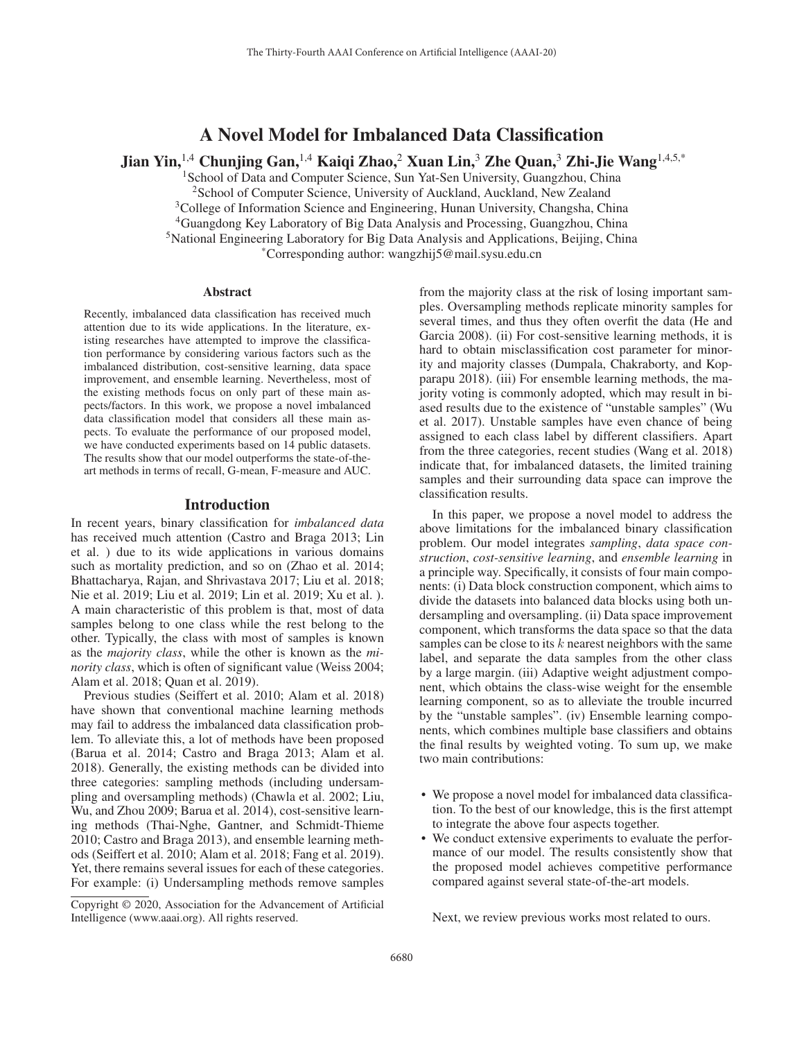# A Novel Model for Imbalanced Data Classification

Jian Yin,<sup>1,4</sup> Chunjing Gan,<sup>1,4</sup> Kaiqi Zhao,<sup>2</sup> Xuan Lin,<sup>3</sup> Zhe Quan,<sup>3</sup> Zhi-Jie Wang<sup>1,4,5,\*</sup>

<sup>1</sup>School of Data and Computer Science, Sun Yat-Sen University, Guangzhou, China <sup>2</sup>School of Computer Science, University of Auckland, Auckland, New Zealand

<sup>3</sup>College of Information Science and Engineering, Hunan University, Changsha, China

4Guangdong Key Laboratory of Big Data Analysis and Processing, Guangzhou, China <sup>5</sup>National Engineering Laboratory for Big Data Analysis and Applications, Beijing, China

\*Corresponding author: wangzhij5@mail.sysu.edu.cn

#### Abstract

Recently, imbalanced data classification has received much attention due to its wide applications. In the literature, existing researches have attempted to improve the classification performance by considering various factors such as the imbalanced distribution, cost-sensitive learning, data space improvement, and ensemble learning. Nevertheless, most of the existing methods focus on only part of these main aspects/factors. In this work, we propose a novel imbalanced data classification model that considers all these main aspects. To evaluate the performance of our proposed model, we have conducted experiments based on 14 public datasets. The results show that our model outperforms the state-of-theart methods in terms of recall, G-mean, F-measure and AUC.

#### Introduction

In recent years, binary classification for *imbalanced data* has received much attention (Castro and Braga 2013; Lin et al. ) due to its wide applications in various domains such as mortality prediction, and so on (Zhao et al. 2014; Bhattacharya, Rajan, and Shrivastava 2017; Liu et al. 2018; Nie et al. 2019; Liu et al. 2019; Lin et al. 2019; Xu et al. ). A main characteristic of this problem is that, most of data samples belong to one class while the rest belong to the other. Typically, the class with most of samples is known as the *majority class*, while the other is known as the *minority class*, which is often of significant value (Weiss 2004; Alam et al. 2018; Quan et al. 2019).

Previous studies (Seiffert et al. 2010; Alam et al. 2018) have shown that conventional machine learning methods may fail to address the imbalanced data classification problem. To alleviate this, a lot of methods have been proposed (Barua et al. 2014; Castro and Braga 2013; Alam et al. 2018). Generally, the existing methods can be divided into three categories: sampling methods (including undersampling and oversampling methods) (Chawla et al. 2002; Liu, Wu, and Zhou 2009; Barua et al. 2014), cost-sensitive learning methods (Thai-Nghe, Gantner, and Schmidt-Thieme 2010; Castro and Braga 2013), and ensemble learning methods (Seiffert et al. 2010; Alam et al. 2018; Fang et al. 2019). Yet, there remains several issues for each of these categories. For example: (i) Undersampling methods remove samples

from the majority class at the risk of losing important samples. Oversampling methods replicate minority samples for several times, and thus they often overfit the data (He and Garcia 2008). (ii) For cost-sensitive learning methods, it is hard to obtain misclassification cost parameter for minority and majority classes (Dumpala, Chakraborty, and Kopparapu 2018). (iii) For ensemble learning methods, the majority voting is commonly adopted, which may result in biased results due to the existence of "unstable samples" (Wu et al. 2017). Unstable samples have even chance of being assigned to each class label by different classifiers. Apart from the three categories, recent studies (Wang et al. 2018) indicate that, for imbalanced datasets, the limited training samples and their surrounding data space can improve the classification results.

In this paper, we propose a novel model to address the above limitations for the imbalanced binary classification problem. Our model integrates *sampling*, *data space construction*, *cost-sensitive learning*, and *ensemble learning* in a principle way. Specifically, it consists of four main components: (i) Data block construction component, which aims to divide the datasets into balanced data blocks using both undersampling and oversampling. (ii) Data space improvement component, which transforms the data space so that the data samples can be close to its  $k$  nearest neighbors with the same label, and separate the data samples from the other class by a large margin. (iii) Adaptive weight adjustment component, which obtains the class-wise weight for the ensemble learning component, so as to alleviate the trouble incurred by the "unstable samples". (iv) Ensemble learning components, which combines multiple base classifiers and obtains the final results by weighted voting. To sum up, we make two main contributions:

- We propose a novel model for imbalanced data classification. To the best of our knowledge, this is the first attempt to integrate the above four aspects together.
- We conduct extensive experiments to evaluate the performance of our model. The results consistently show that the proposed model achieves competitive performance compared against several state-of-the-art models.

Next, we review previous works most related to ours.

Copyright © 2020, Association for the Advancement of Artificial Intelligence (www.aaai.org). All rights reserved.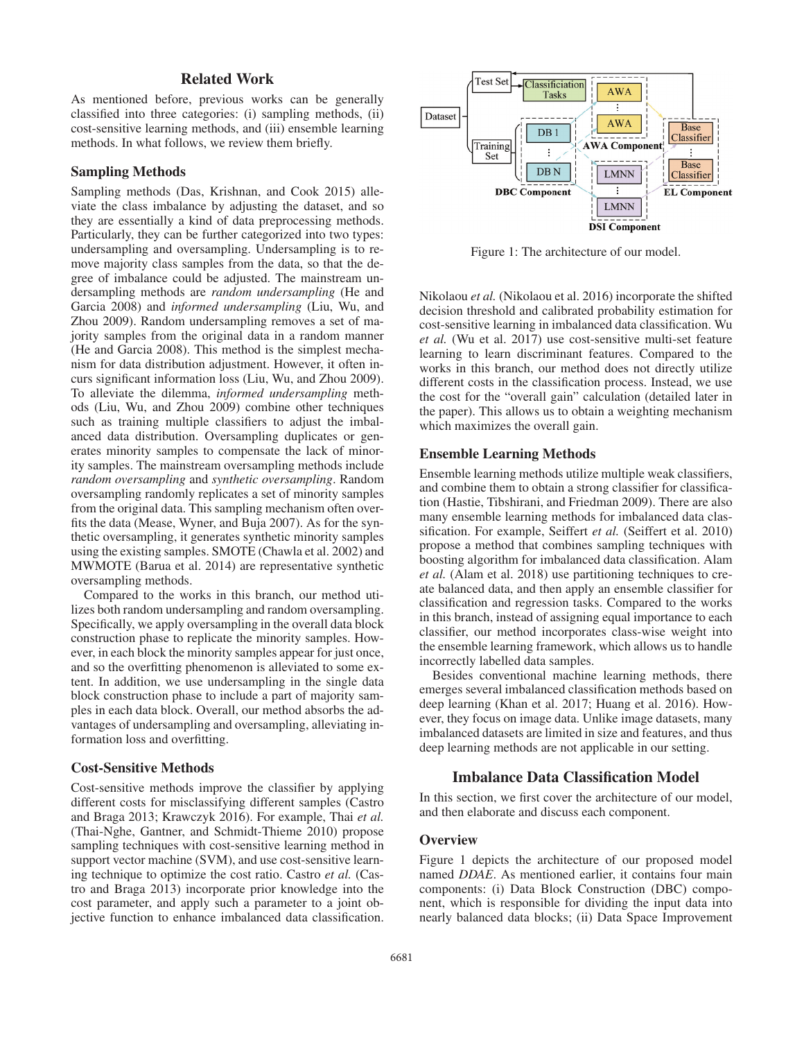# Related Work

As mentioned before, previous works can be generally classified into three categories: (i) sampling methods, (ii) cost-sensitive learning methods, and (iii) ensemble learning methods. In what follows, we review them briefly.

## Sampling Methods

Sampling methods (Das, Krishnan, and Cook 2015) alleviate the class imbalance by adjusting the dataset, and so they are essentially a kind of data preprocessing methods. Particularly, they can be further categorized into two types: undersampling and oversampling. Undersampling is to remove majority class samples from the data, so that the degree of imbalance could be adjusted. The mainstream undersampling methods are *random undersampling* (He and Garcia 2008) and *informed undersampling* (Liu, Wu, and Zhou 2009). Random undersampling removes a set of majority samples from the original data in a random manner (He and Garcia 2008). This method is the simplest mechanism for data distribution adjustment. However, it often incurs significant information loss (Liu, Wu, and Zhou 2009). To alleviate the dilemma, *informed undersampling* methods (Liu, Wu, and Zhou 2009) combine other techniques such as training multiple classifiers to adjust the imbalanced data distribution. Oversampling duplicates or generates minority samples to compensate the lack of minority samples. The mainstream oversampling methods include *random oversampling* and *synthetic oversampling*. Random oversampling randomly replicates a set of minority samples from the original data. This sampling mechanism often overfits the data (Mease, Wyner, and Buja 2007). As for the synthetic oversampling, it generates synthetic minority samples using the existing samples. SMOTE (Chawla et al. 2002) and MWMOTE (Barua et al. 2014) are representative synthetic oversampling methods.

Compared to the works in this branch, our method utilizes both random undersampling and random oversampling. Specifically, we apply oversampling in the overall data block construction phase to replicate the minority samples. However, in each block the minority samples appear for just once, and so the overfitting phenomenon is alleviated to some extent. In addition, we use undersampling in the single data block construction phase to include a part of majority samples in each data block. Overall, our method absorbs the advantages of undersampling and oversampling, alleviating information loss and overfitting.

#### Cost-Sensitive Methods

Cost-sensitive methods improve the classifier by applying different costs for misclassifying different samples (Castro and Braga 2013; Krawczyk 2016). For example, Thai *et al.* (Thai-Nghe, Gantner, and Schmidt-Thieme 2010) propose sampling techniques with cost-sensitive learning method in support vector machine (SVM), and use cost-sensitive learning technique to optimize the cost ratio. Castro *et al.* (Castro and Braga 2013) incorporate prior knowledge into the cost parameter, and apply such a parameter to a joint objective function to enhance imbalanced data classification.



Figure 1: The architecture of our model.

Nikolaou *et al.* (Nikolaou et al. 2016) incorporate the shifted decision threshold and calibrated probability estimation for cost-sensitive learning in imbalanced data classification. Wu *et al.* (Wu et al. 2017) use cost-sensitive multi-set feature learning to learn discriminant features. Compared to the works in this branch, our method does not directly utilize different costs in the classification process. Instead, we use the cost for the "overall gain" calculation (detailed later in the paper). This allows us to obtain a weighting mechanism which maximizes the overall gain.

## Ensemble Learning Methods

Ensemble learning methods utilize multiple weak classifiers, and combine them to obtain a strong classifier for classification (Hastie, Tibshirani, and Friedman 2009). There are also many ensemble learning methods for imbalanced data classification. For example, Seiffert *et al.* (Seiffert et al. 2010) propose a method that combines sampling techniques with boosting algorithm for imbalanced data classification. Alam *et al.* (Alam et al. 2018) use partitioning techniques to create balanced data, and then apply an ensemble classifier for classification and regression tasks. Compared to the works in this branch, instead of assigning equal importance to each classifier, our method incorporates class-wise weight into the ensemble learning framework, which allows us to handle incorrectly labelled data samples.

Besides conventional machine learning methods, there emerges several imbalanced classification methods based on deep learning (Khan et al. 2017; Huang et al. 2016). However, they focus on image data. Unlike image datasets, many imbalanced datasets are limited in size and features, and thus deep learning methods are not applicable in our setting.

### Imbalance Data Classification Model

In this section, we first cover the architecture of our model, and then elaborate and discuss each component.

#### **Overview**

Figure 1 depicts the architecture of our proposed model named *DDAE*. As mentioned earlier, it contains four main components: (i) Data Block Construction (DBC) component, which is responsible for dividing the input data into nearly balanced data blocks; (ii) Data Space Improvement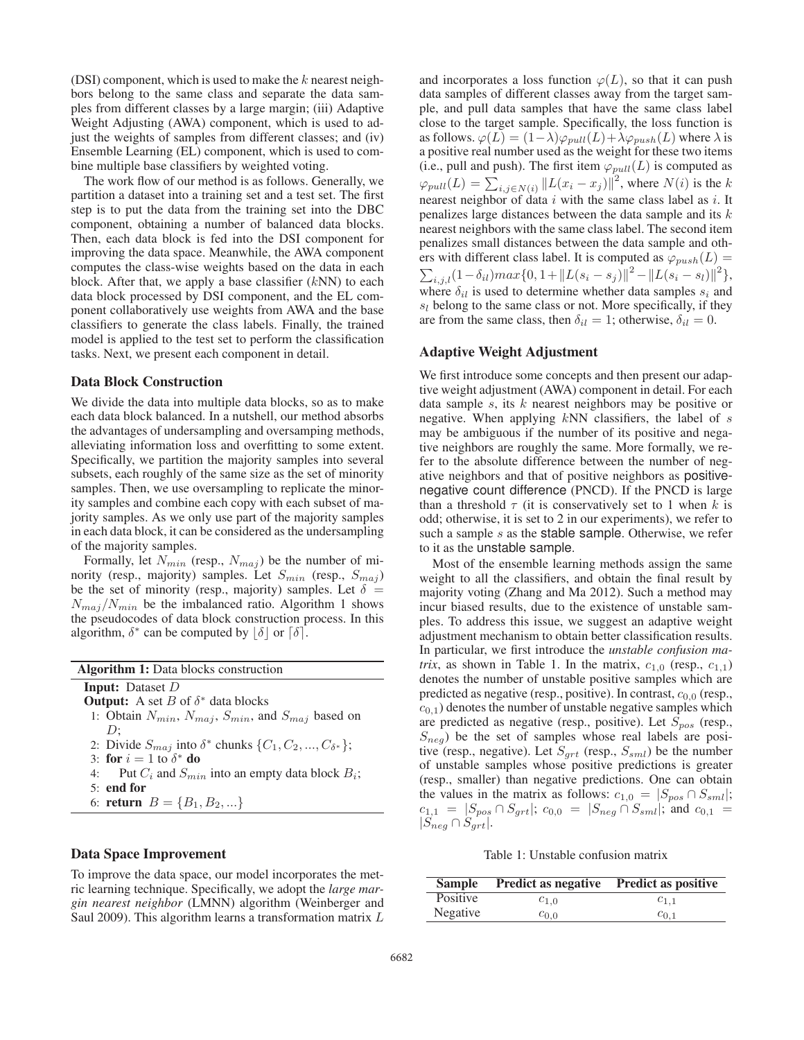(DSI) component, which is used to make the  $k$  nearest neighbors belong to the same class and separate the data samples from different classes by a large margin; (iii) Adaptive Weight Adjusting (AWA) component, which is used to adjust the weights of samples from different classes; and (iv) Ensemble Learning (EL) component, which is used to combine multiple base classifiers by weighted voting.

The work flow of our method is as follows. Generally, we partition a dataset into a training set and a test set. The first step is to put the data from the training set into the DBC component, obtaining a number of balanced data blocks. Then, each data block is fed into the DSI component for improving the data space. Meanwhile, the AWA component computes the class-wise weights based on the data in each block. After that, we apply a base classifier  $(kNN)$  to each data block processed by DSI component, and the EL component collaboratively use weights from AWA and the base classifiers to generate the class labels. Finally, the trained model is applied to the test set to perform the classification tasks. Next, we present each component in detail.

## Data Block Construction

We divide the data into multiple data blocks, so as to make each data block balanced. In a nutshell, our method absorbs the advantages of undersampling and oversamping methods, alleviating information loss and overfitting to some extent. Specifically, we partition the majority samples into several subsets, each roughly of the same size as the set of minority samples. Then, we use oversampling to replicate the minority samples and combine each copy with each subset of majority samples. As we only use part of the majority samples in each data block, it can be considered as the undersampling of the majority samples.

Formally, let  $N_{min}$  (resp.,  $N_{maj}$ ) be the number of minority (resp., majority) samples. Let  $S_{min}$  (resp.,  $S_{maj}$ ) be the set of minority (resp., majority) samples. Let  $\delta =$  $N_{maj}/N_{min}$  be the imbalanced ratio. Algorithm 1 shows the pseudocodes of data block construction process. In this algorithm,  $\delta^*$  can be computed by  $\lfloor \delta \rfloor$  or  $\lceil \delta \rceil$ .

| <b>Algorithm 1:</b> Data blocks construction                                |
|-----------------------------------------------------------------------------|
| <b>Input:</b> Dataset D                                                     |
| <b>Output:</b> A set B of $\delta^*$ data blocks                            |
| 1: Obtain $N_{min}$ , $N_{maxj}$ , $S_{min}$ , and $S_{maxj}$ based on      |
| D:                                                                          |
| 2: Divide $S_{maj}$ into $\delta^*$ chunks $\{C_1, C_2, , C_{\delta^*}\}\;$ |
| 3: for $i = 1$ to $\delta^*$ do                                             |
| 4: Put $C_i$ and $S_{min}$ into an empty data block $B_i$ ;                 |
| $5:$ end for                                                                |
| 6: <b>return</b> $B = \{B_1, B_2, \}$                                       |
|                                                                             |

#### Data Space Improvement

To improve the data space, our model incorporates the metric learning technique. Specifically, we adopt the *large margin nearest neighbor* (LMNN) algorithm (Weinberger and Saul 2009). This algorithm learns a transformation matrix L and incorporates a loss function  $\varphi(L)$ , so that it can push data samples of different classes away from the target sample, and pull data samples that have the same class label close to the target sample. Specifically, the loss function is as follows.  $\varphi(L) = (1-\lambda)\varphi_{pull}(L) + \lambda \varphi_{push}(L)$  where  $\lambda$  is a positive real number used as the weight for these two items (i.e., pull and push). The first item  $\varphi_{pull}(L)$  is computed as  $\varphi_{pull}(L) = \sum_{i,j \in N(i)} ||L(x_i - x_j)||^2$ , where  $N(i)$  is the k<br>pearest peighbor of data i with the same class label as i. It nearest neighbor of data i with the same class label as i. It negatives large distances between the data sample and its  $k$ penalizes large distances between the data sample and its  $k$ nearest neighbors with the same class label. The second item penalizes small distances between the data sample and others with different class label. It is computed as  $\varphi_{push}(L) =$  $\sum_{i,j,l} (1 - \delta_{il}) max\{0, 1 + ||L(s_i - s_j)||^2 - ||L(s_i - s_l)||^2\},$  where  $\delta_{il}$  is used to determine whether data samples  $\varepsilon_{il}$  and where  $\delta_{il}$  is used to determine whether data samples  $s_i$  and  $s_i$  belong to the same class or not. More specifically if they  $s_l$  belong to the same class or not. More specifically, if they are from the same class, then  $\delta_{il} = 1$ ; otherwise,  $\delta_{il} = 0$ .

#### Adaptive Weight Adjustment

We first introduce some concepts and then present our adaptive weight adjustment (AWA) component in detail. For each data sample s, its k nearest neighbors may be positive or negative. When applying  $kNN$  classifiers, the label of s may be ambiguous if the number of its positive and negative neighbors are roughly the same. More formally, we refer to the absolute difference between the number of negative neighbors and that of positive neighbors as positivenegative count difference (PNCD). If the PNCD is large than a threshold  $\tau$  (it is conservatively set to 1 when k is odd; otherwise, it is set to 2 in our experiments), we refer to such a sample s as the stable sample. Otherwise, we refer to it as the unstable sample.

Most of the ensemble learning methods assign the same weight to all the classifiers, and obtain the final result by majority voting (Zhang and Ma 2012). Such a method may incur biased results, due to the existence of unstable samples. To address this issue, we suggest an adaptive weight adjustment mechanism to obtain better classification results. In particular, we first introduce the *unstable confusion matrix*, as shown in Table 1. In the matrix,  $c_{1,0}$  (resp.,  $c_{1,1}$ ) denotes the number of unstable positive samples which are predicted as negative (resp., positive). In contrast,  $c_{0,0}$  (resp.,  $c_{0,1}$ ) denotes the number of unstable negative samples which are predicted as negative (resp., positive). Let  $S_{pos}$  (resp.,  $S_{neg}$ ) be the set of samples whose real labels are positive (resp., negative). Let  $S_{qrt}$  (resp.,  $S_{sml}$ ) be the number of unstable samples whose positive predictions is greater (resp., smaller) than negative predictions. One can obtain the values in the matrix as follows:  $c_{1,0} = |S_{pos} \cap S_{sml}|;$  $c_{1,1} = |S_{pos} \cap S_{grt}|$ ;  $c_{0,0} = |S_{neg} \cap S_{smt}|$ ; and  $c_{0,1} = |S_{pre} \cap S_{smt}|$  $|S_{neg} \cap S_{grt}|.$ 

Table 1: Unstable confusion matrix

| <b>Sample</b> | <b>Predict as negative</b> Predict as positive |           |
|---------------|------------------------------------------------|-----------|
| Positive      | $c_{1,0}$                                      | $c_{1,1}$ |
| Negative      | $c_{0,0}$                                      | $c_{0.1}$ |
|               |                                                |           |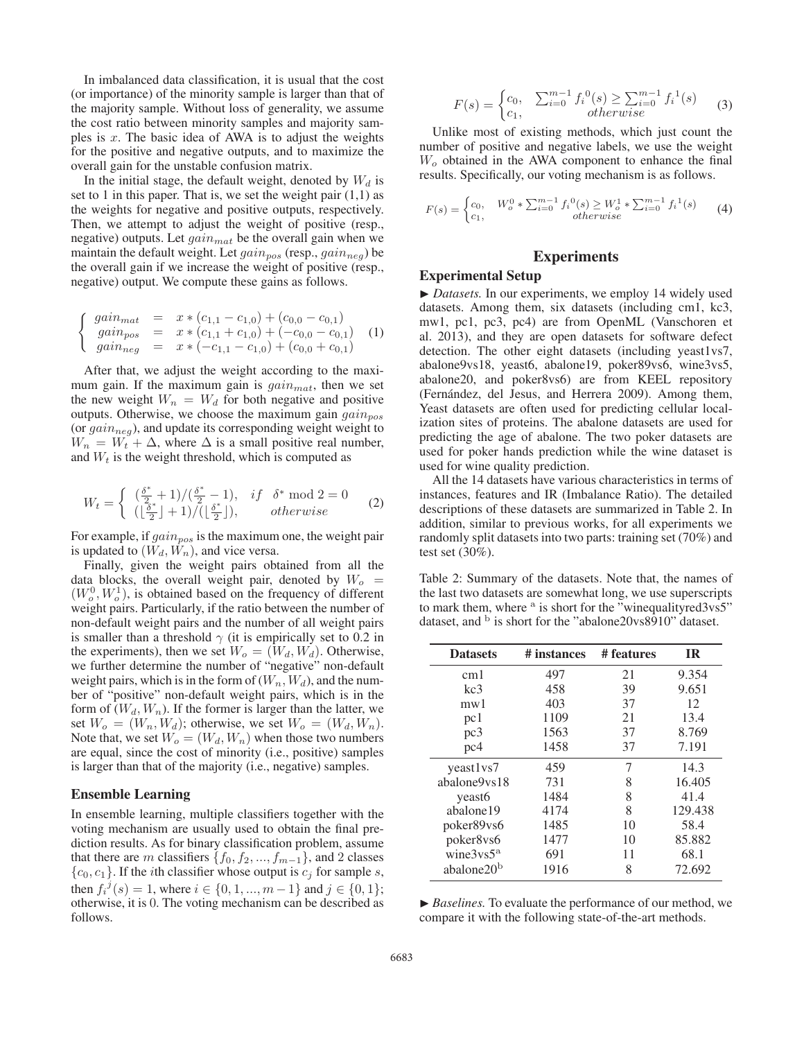In imbalanced data classification, it is usual that the cost (or importance) of the minority sample is larger than that of the majority sample. Without loss of generality, we assume the cost ratio between minority samples and majority samples is  $x$ . The basic idea of AWA is to adjust the weights for the positive and negative outputs, and to maximize the overall gain for the unstable confusion matrix.

In the initial stage, the default weight, denoted by  $W_d$  is set to 1 in this paper. That is, we set the weight pair  $(1,1)$  as the weights for negative and positive outputs, respectively. Then, we attempt to adjust the weight of positive (resp., negative) outputs. Let  $gain_{mat}$  be the overall gain when we maintain the default weight. Let  $gain_{pos}$  (resp.,  $gain_{neg}$ ) be the overall gain if we increase the weight of positive (resp., negative) output. We compute these gains as follows.

$$
\begin{cases}\n\begin{array}{rcl}\ngain_{mat} & = & x * (c_{1,1} - c_{1,0}) + (c_{0,0} - c_{0,1}) \\
gain_{pos} & = & x * (c_{1,1} + c_{1,0}) + (-c_{0,0} - c_{0,1}) \\
gain_{neg} & = & x * (-c_{1,1} - c_{1,0}) + (c_{0,0} + c_{0,1})\n\end{array}\n\end{cases}
$$
(1)

After that, we adjust the weight according to the maximum gain. If the maximum gain is  $gain_{mat}$ , then we set the new weight  $W_n = W_d$  for both negative and positive outputs. Otherwise, we choose the maximum gain  $gain_{pos}$ (or  $gain_{neg}$ ), and update its corresponding weight weight to  $W_n = W_t + \Delta$ , where  $\Delta$  is a small positive real number, and  $W_t$  is the weight threshold, which is computed as

$$
W_t = \begin{cases} \left(\frac{\delta^*}{2} + 1\right) / \left(\frac{\delta^*}{2} - 1\right), & \text{if } \delta^* \text{ mod } 2 = 0\\ \left(\left\lfloor \frac{\delta^*}{2} \right\rfloor + 1\right) / \left(\left\lfloor \frac{\delta^*}{2} \right\rfloor\right), & \text{otherwise} \end{cases} \tag{2}
$$

For example, if  $gain_{pos}$  is the maximum one, the weight pair is updated to  $(W_d, W_n)$ , and vice versa.

Finally, given the weight pairs obtained from all the data blocks, the overall weight pair, denoted by  $W_0$  =  $(W_o^0, W_o^1)$ , is obtained based on the frequency of different<br>weight pairs. Particularly, if the ratio between the number of weight pairs. Particularly, if the ratio between the number of non-default weight pairs and the number of all weight pairs is smaller than a threshold  $\gamma$  (it is empirically set to 0.2 in the experiments), then we set  $W_o = (W_d, W_d)$ . Otherwise, we further determine the number of "negative" non-default weight pairs, which is in the form of  $(W_n, W_d)$ , and the number of "positive" non-default weight pairs, which is in the form of  $(W_d, W_n)$ . If the former is larger than the latter, we set  $W_o = (W_n, W_d)$ ; otherwise, we set  $W_o = (W_d, W_n)$ . Note that, we set  $W_o = (W_d, W_n)$  when those two numbers are equal, since the cost of minority (i.e., positive) samples is larger than that of the majority (i.e., negative) samples.

#### Ensemble Learning

In ensemble learning, multiple classifiers together with the voting mechanism are usually used to obtain the final prediction results. As for binary classification problem, assume that there are m classifiers  $\{f_0, f_2, ..., f_{m-1}\}$ , and 2 classes  ${c_0, c_1}$ . If the *i*th classifier whose output is  $c_j$  for sample s, then  $f_i^j(s) = 1$ , where  $i \in \{0, 1, ..., m-1\}$  and  $j \in \{0, 1\}$ ;<br>otherwise it is 0. The voting mechanism can be described as otherwise, it is 0. The voting mechanism can be described as follows.

$$
F(s) = \begin{cases} c_0, & \sum_{i=0}^{m-1} f_i^0(s) \ge \sum_{i=0}^{m-1} f_i^1(s) \\ c_1, & \text{otherwise} \end{cases} \tag{3}
$$
\n\nUnlike most of existing methods, which just count the

number of positive and negative labels, we use the weight  $W<sub>o</sub>$  obtained in the AWA component to enhance the final results. Specifically, our voting mechanism is as follows.

$$
F(s) = \begin{cases} c_0, & W_o^0 * \sum_{i=0}^{m-1} f_i^0(s) \ge W_o^1 * \sum_{i=0}^{m-1} f_i^1(s) \\ c_1, & otherwise \end{cases}
$$
 (4)

# **Experiments**

#### Experimental Setup

- *Datasets.* In our experiments, we employ 14 widely used datasets. Among them, six datasets (including cm1, kc3, mw1, pc1, pc3, pc4) are from OpenML (Vanschoren et al. 2013), and they are open datasets for software defect detection. The other eight datasets (including yeast1vs7, abalone9vs18, yeast6, abalone19, poker89vs6, wine3vs5, abalone20, and poker8vs6) are from KEEL repository (Fernández, del Jesus, and Herrera 2009). Among them, Yeast datasets are often used for predicting cellular localization sites of proteins. The abalone datasets are used for predicting the age of abalone. The two poker datasets are used for poker hands prediction while the wine dataset is used for wine quality prediction.

All the 14 datasets have various characteristics in terms of instances, features and IR (Imbalance Ratio). The detailed descriptions of these datasets are summarized in Table 2. In addition, similar to previous works, for all experiments we randomly split datasets into two parts: training set (70%) and test set (30%).

Table 2: Summary of the datasets. Note that, the names of the last two datasets are somewhat long, we use superscripts to mark them, where <sup>a</sup> is short for the "winequalityred3vs5" dataset, and <sup>b</sup> is short for the "abalone20vs8910" dataset.

| <b>Datasets</b>               | # instances | # features | <b>IR</b> |
|-------------------------------|-------------|------------|-----------|
| cm1                           | 497         | 21         | 9.354     |
| kc3                           | 458         | 39         | 9.651     |
| mw1                           | 403         | 37         | 12        |
| pc1                           | 1109        | 21         | 13.4      |
| pc <sub>3</sub>               | 1563        | 37         | 8.769     |
| pc <sub>4</sub>               | 1458        | 37         | 7.191     |
| yeast1vs7                     | 459         | 7          | 14.3      |
| abalone9vs18                  | 731         | 8          | 16.405    |
| yeast <sub>6</sub>            | 1484        | 8          | 41.4      |
| abalone19                     | 4174        | 8          | 129.438   |
| poker89vs6                    | 1485        | 10         | 58.4      |
| poker8vs6                     | 1477        | 10         | 85.882    |
| wine $3\text{vs}5^{\text{a}}$ | 691         | 11         | 68.1      |
| abalone $20b$                 | 1916        | 8          | 72.692    |

- *Baselines.* To evaluate the performance of our method, we compare it with the following state-of-the-art methods.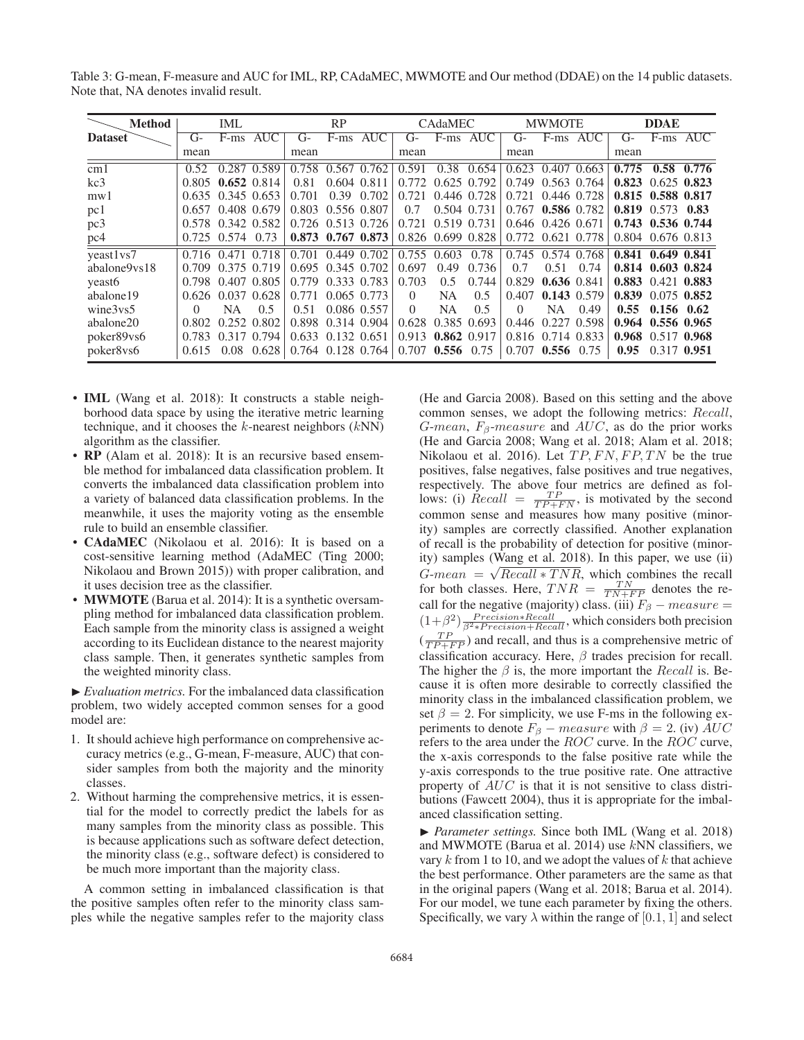| <b>Method</b>            | IML      |                  | RP              |       | CAdaMEC                 |                   | <b>MWMOTE</b>     |                    | <b>DDAE</b> |                   |                         |                     |       |                   |            |
|--------------------------|----------|------------------|-----------------|-------|-------------------------|-------------------|-------------------|--------------------|-------------|-------------------|-------------------------|---------------------|-------|-------------------|------------|
| <b>Dataset</b>           | $G-$     | F-ms             | <b>AUC</b>      | G-    | $F\text{-ms}$           | <b>AUC</b>        | G-                | $F\text{-ms}$      | AUC         | G-                | $F$ -ms                 | <b>AUC</b>          | G-    | $F$ -ms           | <b>AUC</b> |
|                          | mean     |                  |                 | mean  |                         |                   | mean              |                    |             | mean              |                         |                     | mean  |                   |            |
| cm1                      | 0.52     |                  | 0.287 0.589     | 0.758 | 0.567 0.762             |                   | 0.591             | 0.38               | 0.654       | 0.623             | 0.407                   | 0.663               | 0.775 | 0.58              | 0.776      |
| kc3                      | 0.805    |                  | $0.652$ $0.814$ | 0.81  | $0.604$ $0.811$         |                   |                   | 0.772 0.625 0.792  |             |                   | 0.749 0.563 0.764       |                     | 0.823 | $0.625$ 0.823     |            |
| mw1                      | 0.635    | 0.345 0.653      |                 | 0.701 |                         | 0.39 0.702        | 0.721             | 0.446 0.728        |             |                   | 0.721 0.446 0.728       |                     |       | 0.815 0.588 0.817 |            |
| pc <sub>1</sub>          | 0.657    | 0.408 0.679      |                 | 0.803 | 0.556 0.807             |                   | 0.7               | 0.504 0.731        |             |                   |                         | $0.767$ 0.586 0.782 | 0.819 | 0.573 0.83        |            |
| pc <sub>3</sub>          | 0.578    | 0.342 0.582      |                 |       | 0.726 0.513 0.726       |                   | 0.721             | 0.519 0.731        |             |                   | $0.646$ $0.426$ $0.671$ |                     |       | 0.743 0.536 0.744 |            |
| pc4                      |          | 0.725 0.574 0.73 |                 |       |                         | 0.873 0.767 0.873 | 0.826 0.699 0.828 |                    |             | 0.772 0.621 0.778 |                         |                     |       | 0.804 0.676 0.813 |            |
| yeast1vs7                | 0.716    |                  | 0.471 0.718     | 0.701 | 0.449 0.702             |                   |                   | $0.755$ $0.603$    | 0.78        | 0.745             | 0.574 0.768             |                     |       | 0.841 0.649 0.841 |            |
| abalone9ys18             | 0.709    | 0.375 0.719      |                 |       | $0.695$ $0.345$ $0.702$ |                   | 0.697             | 0.49               | 0.736       | 0.7               | 0.51                    | 0.74                | 0.814 | 0.603 0.824       |            |
| yeast <sub>6</sub>       | 0.798    | 0.407 0.805      |                 | 0.779 | 0.333 0.783             |                   | 0.703             | 0.5                | 0.744       | 0.829             | $0.636$ $0.841$         |                     |       | 0.883 0.421 0.883 |            |
| abalone19                | 0.626    | 0.037 0.628      |                 | 0.771 | 0.065 0.773             |                   | $\Omega$          | NA.                | 0.5         | 0.407             | $0.143$ 0.579           |                     | 0.839 | $0.075$ 0.852     |            |
| $\text{wine3}\text{vs5}$ | $\Omega$ | NA.              | 0.5             | 0.51  |                         | 0.086 0.557       | $\Omega$          | NA.                | 0.5         | $\Omega$          | NA.                     | 0.49                | 0.55  | $0.156$ $0.62$    |            |
| abalone20                | 0.802    |                  | 0.252 0.802     | 0.898 | 0.314 0.904             |                   | 0.628             | 0.385 0.693        |             | 0.446             | 0.227                   | 0.598               | 0.964 | 0.556 0.965       |            |
| poker89vs6               | 0.783    |                  | 0.317 0.794     | 0.633 | 0.132                   | 0.651             | 0.913             | $0.862$ 0.917      |             | 0.816             | 0.714 0.833             |                     | 0.968 | 0.517 0.968       |            |
| poker8vs6                | 0.615    | 0.08             | 0.628           |       | 0.764 0.128 0.764       |                   |                   | $0.707$ 0.556 0.75 |             |                   | $0.707$ 0.556 0.75      |                     | 0.95  | 0.317 0.951       |            |

Table 3: G-mean, F-measure and AUC for IML, RP, CAdaMEC, MWMOTE and Our method (DDAE) on the 14 public datasets. Note that, NA denotes invalid result.

- **IML** (Wang et al. 2018): It constructs a stable neighborhood data space by using the iterative metric learning technique, and it chooses the  $k$ -nearest neighbors  $(kNN)$ algorithm as the classifier.
- RP (Alam et al. 2018): It is an recursive based ensemble method for imbalanced data classification problem. It converts the imbalanced data classification problem into a variety of balanced data classification problems. In the meanwhile, it uses the majority voting as the ensemble rule to build an ensemble classifier.
- CAdaMEC (Nikolaou et al. 2016): It is based on a cost-sensitive learning method (AdaMEC (Ting 2000; Nikolaou and Brown 2015)) with proper calibration, and it uses decision tree as the classifier.
- MWMOTE (Barua et al. 2014): It is a synthetic oversampling method for imbalanced data classification problem. Each sample from the minority class is assigned a weight according to its Euclidean distance to the nearest majority class sample. Then, it generates synthetic samples from the weighted minority class.

- *Evaluation metrics.* For the imbalanced data classification problem, two widely accepted common senses for a good model are:

- 1. It should achieve high performance on comprehensive accuracy metrics (e.g., G-mean, F-measure, AUC) that consider samples from both the majority and the minority classes.
- 2. Without harming the comprehensive metrics, it is essential for the model to correctly predict the labels for as many samples from the minority class as possible. This is because applications such as software defect detection, the minority class (e.g., software defect) is considered to be much more important than the majority class.

A common setting in imbalanced classification is that the positive samples often refer to the minority class samples while the negative samples refer to the majority class

(He and Garcia 2008). Based on this setting and the above common senses, we adopt the following metrics: Recall, G-mean,  $F_{\beta}$ -measure and  $AUC$ , as do the prior works (He and Garcia 2008; Wang et al. 2018; Alam et al. 2018; Nikolaou et al. 2016). Let  $TP, FN, FP, TN$  be the true positives, false negatives, false positives and true negatives, respectively. The above four metrics are defined as follows: (i)  $\text{Recall} = \frac{TP}{TP + FN}$ , is motivated by the second common sense and measures how many positive (minorcommon sense and measures how many positive (minority) samples are correctly classified. Another explanation of recall is the probability of detection for positive (minority) samples (Wang et al. 2018). In this paper, we use (ii) The distribution of the same of the recall  $G\text{-}mean = \sqrt{Recall * TNR}$ , which combines the recall for both classes. Here  $TNR = \frac{TN}{T}$  denotes the refor both classes. Here,  $TNR = \frac{TN}{TN+FP}$  denotes the re-<br>call for the negative (majority) class (iii)  $F_0 = meq$  sure call for the negative (majority) class. (iii)  $F_\beta$  – measure = <br>(1+ $\beta^2$ ) Precision\*Recall which considers both precision  $(1+\beta^2)\frac{Precision*Recall}{\beta^2*Precision+Recall}$ , which considers both precision  $(\frac{TP}{TP+FP})$  and recall, and thus is a comprehensive metric of classification accuracy. Here,  $\beta$  trades precision for recall. The higher the  $\beta$  is, the more important the *Recall* is. Because it is often more desirable to correctly classified the minority class in the imbalanced classification problem, we set  $\beta = 2$ . For simplicity, we use F-ms in the following experiments to denote  $F_\beta - measure$  with  $\beta = 2$ . (iv)  $\overline{A}UC$ refers to the area under the ROC curve. In the ROC curve, the x-axis corresponds to the false positive rate while the y-axis corresponds to the true positive rate. One attractive property of AUC is that it is not sensitive to class distributions (Fawcett 2004), thus it is appropriate for the imbalanced classification setting.

- *Parameter settings.* Since both IML (Wang et al. 2018) and MWMOTE (Barua et al. 2014) use kNN classifiers, we vary  $k$  from 1 to 10, and we adopt the values of  $k$  that achieve the best performance. Other parameters are the same as that in the original papers (Wang et al. 2018; Barua et al. 2014). For our model, we tune each parameter by fixing the others. Specifically, we vary  $\lambda$  within the range of [0.1, 1] and select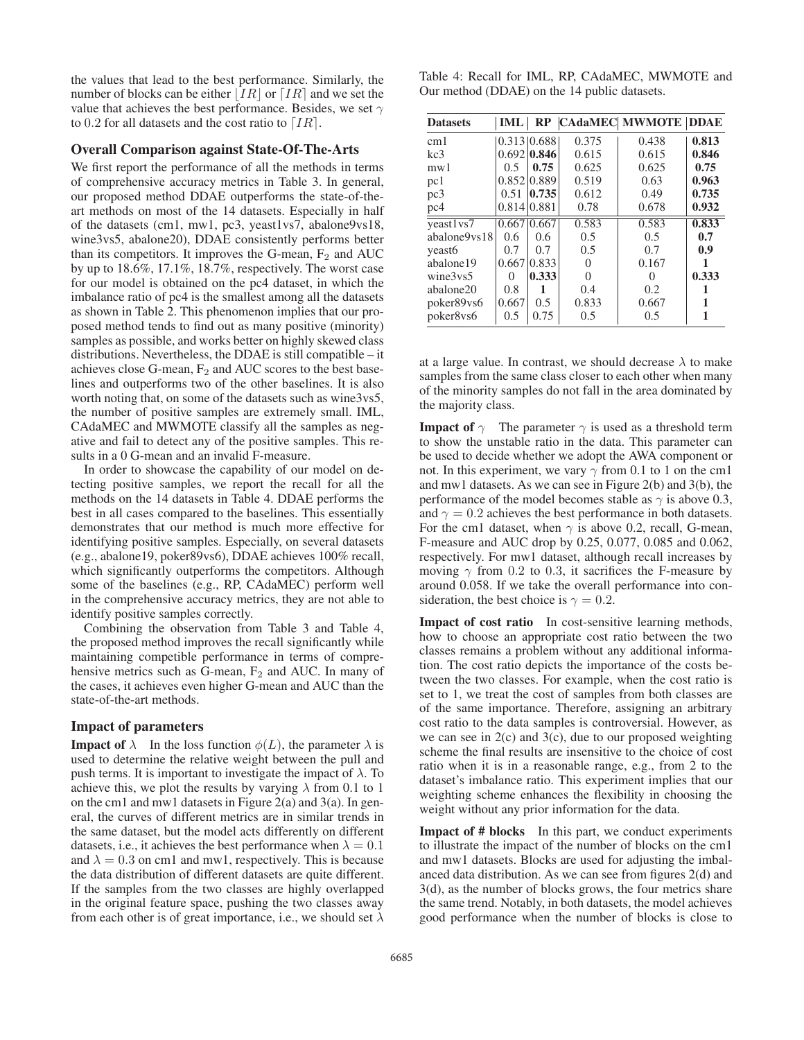the values that lead to the best performance. Similarly, the number of blocks can be either  $[IR]$  or  $[IR]$  and we set the value that achieves the best performance. Besides, we set  $\gamma$ value that achieves the best performance. Besides, we set  $\gamma$ to 0.2 for all datasets and the cost ratio to  $[IR]$ .

### Overall Comparison against State-Of-The-Arts

We first report the performance of all the methods in terms of comprehensive accuracy metrics in Table 3. In general, our proposed method DDAE outperforms the state-of-theart methods on most of the 14 datasets. Especially in half of the datasets (cm1, mw1, pc3, yeast1vs7, abalone9vs18, wine3vs5, abalone20), DDAE consistently performs better than its competitors. It improves the G-mean,  $F_2$  and AUC by up to 18.6%, 17.1%, 18.7%, respectively. The worst case for our model is obtained on the pc4 dataset, in which the imbalance ratio of pc4 is the smallest among all the datasets as shown in Table 2. This phenomenon implies that our proposed method tends to find out as many positive (minority) samples as possible, and works better on highly skewed class distributions. Nevertheless, the DDAE is still compatible – it achieves close G-mean,  $F_2$  and AUC scores to the best baselines and outperforms two of the other baselines. It is also worth noting that, on some of the datasets such as wine3vs5, the number of positive samples are extremely small. IML, CAdaMEC and MWMOTE classify all the samples as negative and fail to detect any of the positive samples. This results in a 0 G-mean and an invalid F-measure.

In order to showcase the capability of our model on detecting positive samples, we report the recall for all the methods on the 14 datasets in Table 4. DDAE performs the best in all cases compared to the baselines. This essentially demonstrates that our method is much more effective for identifying positive samples. Especially, on several datasets (e.g., abalone19, poker89vs6), DDAE achieves 100% recall, which significantly outperforms the competitors. Although some of the baselines (e.g., RP, CAdaMEC) perform well in the comprehensive accuracy metrics, they are not able to identify positive samples correctly.

Combining the observation from Table 3 and Table 4, the proposed method improves the recall significantly while maintaining competible performance in terms of comprehensive metrics such as G-mean,  $F_2$  and AUC. In many of the cases, it achieves even higher G-mean and AUC than the state-of-the-art methods.

#### Impact of parameters

**Impact of**  $\lambda$  In the loss function  $\phi(L)$ , the parameter  $\lambda$  is used to determine the relative weight between the pull and push terms. It is important to investigate the impact of  $\lambda$ . To achieve this, we plot the results by varying  $\lambda$  from 0.1 to 1 on the cm1 and mw1 datasets in Figure  $2(a)$  and  $3(a)$ . In general, the curves of different metrics are in similar trends in the same dataset, but the model acts differently on different datasets, i.e., it achieves the best performance when  $\lambda = 0.1$ and  $\lambda = 0.3$  on cm1 and mw1, respectively. This is because the data distribution of different datasets are quite different. If the samples from the two classes are highly overlapped in the original feature space, pushing the two classes away from each other is of great importance, i.e., we should set  $\lambda$ 

| <b>Datasets</b>    | IML         |                  |          | <b>RP CAdaMEC MWMOTE DDAE</b> |       |
|--------------------|-------------|------------------|----------|-------------------------------|-------|
| cm1                | 0.313 0.688 |                  | 0.375    | 0.438                         | 0.813 |
| kc3                |             | $0.692$ 0.846    | 0.615    | 0.615                         | 0.846 |
| $m$ w $1$          | 0.5         | 0.75             | 0.625    | 0.625                         | 0.75  |
| pc <sub>1</sub>    |             | 0.852 0.889      | 0.519    | 0.63                          | 0.963 |
| pc <sub>3</sub>    | 0.51        | 0.735            | 0.612    | 0.49                          | 0.735 |
| pc4                | 0.814 0.881 |                  | 0.78     | 0.678                         | 0.932 |
| yeast1vs7          |             | $0.667 \, 0.667$ | 0.583    | 0.583                         | 0.833 |
| abalone9vs18       | 0.6         | 0.6              | 0.5      | 0.5                           | 0.7   |
| yeast <sub>6</sub> | 0.7         | 0.7              | 0.5      | 0.7                           | 0.9   |
| abalone19          | 0.667       | 0.833            | $\Omega$ | 0.167                         |       |
| wine3ys5           | 0           | 0.333            | $\Omega$ | $\mathbf{\Omega}$             | 0.333 |
| abalone20          | 0.8         | 1                | 0.4      | 0.2                           |       |
| poker89vs6         | 0.667       | 0.5              | 0.833    | 0.667                         | 1     |
| poker8vs6          | 0.5         | 0.75             | 0.5      | 0.5                           | 1     |

at a large value. In contrast, we should decrease  $\lambda$  to make samples from the same class closer to each other when many of the minority samples do not fall in the area dominated by the majority class.

**Impact of**  $\gamma$  The parameter  $\gamma$  is used as a threshold term to show the unstable ratio in the data. This parameter can be used to decide whether we adopt the AWA component or not. In this experiment, we vary  $\gamma$  from 0.1 to 1 on the cm1 and mw1 datasets. As we can see in Figure 2(b) and 3(b), the performance of the model becomes stable as  $\gamma$  is above 0.3, and  $\gamma = 0.2$  achieves the best performance in both datasets. For the cm1 dataset, when  $\gamma$  is above 0.2, recall, G-mean, F-measure and AUC drop by 0.25, 0.077, 0.085 and 0.062, respectively. For mw1 dataset, although recall increases by moving  $\gamma$  from 0.2 to 0.3, it sacrifices the F-measure by around 0.058. If we take the overall performance into consideration, the best choice is  $\gamma = 0.2$ .

Impact of cost ratio In cost-sensitive learning methods, how to choose an appropriate cost ratio between the two classes remains a problem without any additional information. The cost ratio depicts the importance of the costs between the two classes. For example, when the cost ratio is set to 1, we treat the cost of samples from both classes are of the same importance. Therefore, assigning an arbitrary cost ratio to the data samples is controversial. However, as we can see in  $2(c)$  and  $3(c)$ , due to our proposed weighting scheme the final results are insensitive to the choice of cost ratio when it is in a reasonable range, e.g., from 2 to the dataset's imbalance ratio. This experiment implies that our weighting scheme enhances the flexibility in choosing the weight without any prior information for the data.

Impact of # blocks In this part, we conduct experiments to illustrate the impact of the number of blocks on the cm1 and mw1 datasets. Blocks are used for adjusting the imbalanced data distribution. As we can see from figures 2(d) and 3(d), as the number of blocks grows, the four metrics share the same trend. Notably, in both datasets, the model achieves good performance when the number of blocks is close to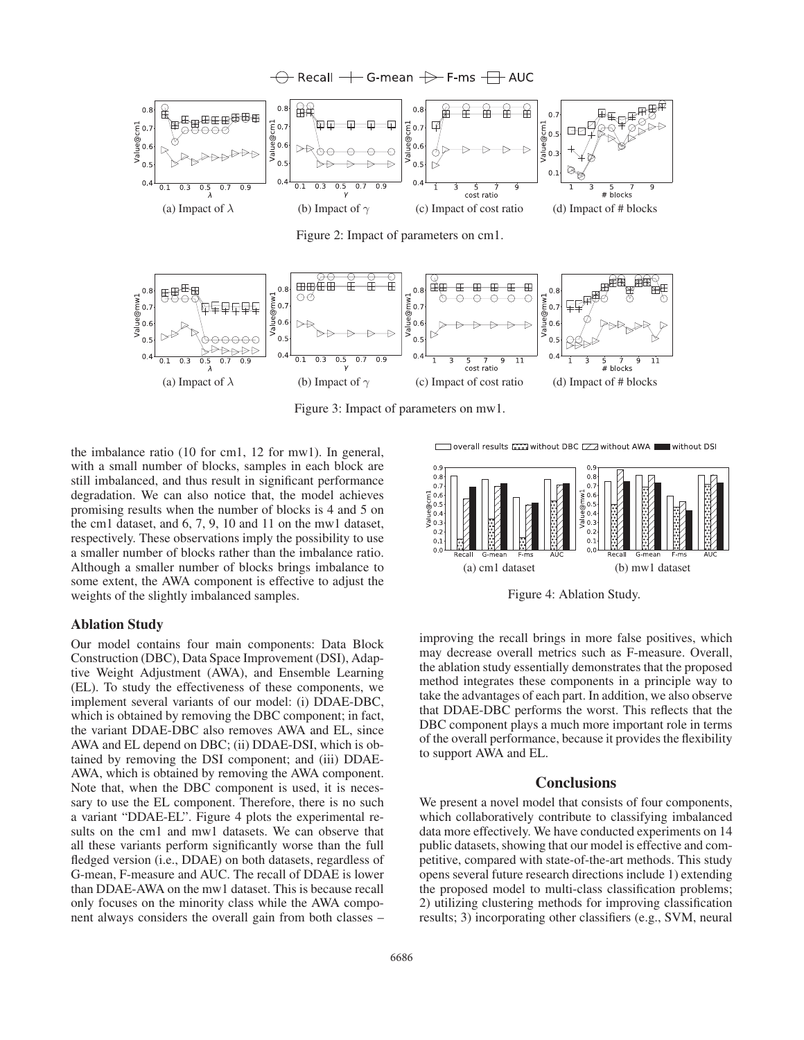

Figure 2: Impact of parameters on cm1.



Figure 3: Impact of parameters on mw1.

 $\Box$ 

 $0.8$ 0. o.

the imbalance ratio (10 for cm1, 12 for mw1). In general, with a small number of blocks, samples in each block are still imbalanced, and thus result in significant performance degradation. We can also notice that, the model achieves promising results when the number of blocks is 4 and 5 on the cm1 dataset, and 6, 7, 9, 10 and 11 on the mw1 dataset, respectively. These observations imply the possibility to use a smaller number of blocks rather than the imbalance ratio. Although a smaller number of blocks brings imbalance to some extent, the AWA component is effective to adjust the weights of the slightly imbalanced samples.

### Ablation Study

Our model contains four main components: Data Block Construction (DBC), Data Space Improvement (DSI), Adaptive Weight Adjustment (AWA), and Ensemble Learning (EL). To study the effectiveness of these components, we implement several variants of our model: (i) DDAE-DBC, which is obtained by removing the DBC component; in fact, the variant DDAE-DBC also removes AWA and EL, since AWA and EL depend on DBC; (ii) DDAE-DSI, which is obtained by removing the DSI component; and (iii) DDAE-AWA, which is obtained by removing the AWA component. Note that, when the DBC component is used, it is necessary to use the EL component. Therefore, there is no such a variant "DDAE-EL". Figure 4 plots the experimental results on the cm1 and mw1 datasets. We can observe that all these variants perform significantly worse than the full fledged version (i.e., DDAE) on both datasets, regardless of G-mean, F-measure and AUC. The recall of DDAE is lower than DDAE-AWA on the mw1 dataset. This is because recall only focuses on the minority class while the AWA component always considers the overall gain from both classes –

overall results ﷺ without DBC ⊠⊠ without AWA ■ without DSI التفقة

(a) cm1 dataset (b) mw1 dataset

Figure 4: Ablation Study.

improving the recall brings in more false positives, which may decrease overall metrics such as F-measure. Overall, the ablation study essentially demonstrates that the proposed method integrates these components in a principle way to take the advantages of each part. In addition, we also observe that DDAE-DBC performs the worst. This reflects that the DBC component plays a much more important role in terms of the overall performance, because it provides the flexibility to support AWA and EL.

### **Conclusions**

We present a novel model that consists of four components, which collaboratively contribute to classifying imbalanced data more effectively. We have conducted experiments on 14 public datasets, showing that our model is effective and competitive, compared with state-of-the-art methods. This study opens several future research directions include 1) extending the proposed model to multi-class classification problems; 2) utilizing clustering methods for improving classification results; 3) incorporating other classifiers (e.g., SVM, neural